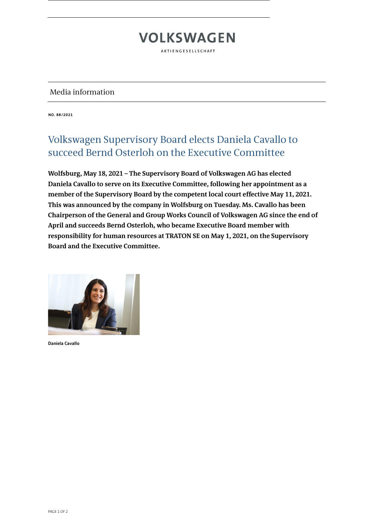# **VOLKSWAGEN**

AKTIENGESELLSCHAFT

### Media information

**NO. 88/2021**

## Volkswagen Supervisory Board elects Daniela Cavallo to succeed Bernd Osterloh on the Executive Committee

**Wolfsburg, May 18, 2021 – The Supervisory Board of Volkswagen AG has elected Daniela Cavallo to serve on its Executive Committee, following her appointment as a member of the Supervisory Board by the competent local court effective May 11, 2021. This was announced by the company in Wolfsburg on Tuesday. Ms. Cavallo has been Chairperson of the General and Group Works Council of Volkswagen AG since the end of April and succeeds Bernd Osterloh, who became Executive Board member with responsibility for human resources at TRATON SE on May 1, 2021, on the Supervisory Board and the Executive Committee.**



**Daniela Cavallo**